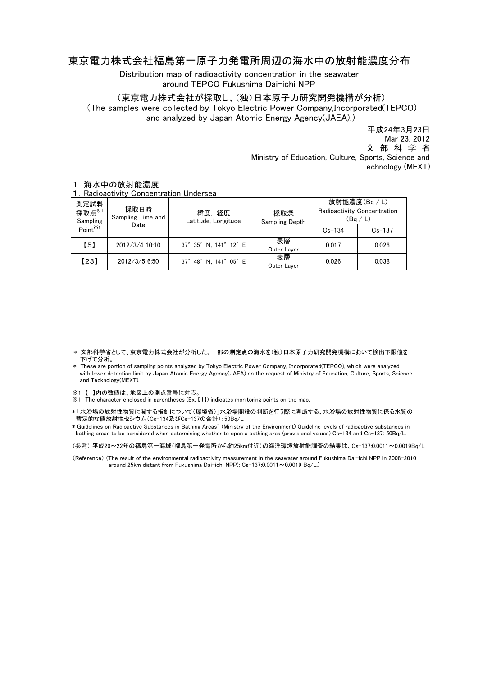## 東京電力株式会社福島第一原子力発電所周辺の海水中の放射能濃度分布

Distribution map of radioactivity concentration in the seawater around TEPCO Fukushima Dai-ichi NPP

(東京電力株式会社が採取し、(独)日本原子力研究開発機構が分析)

(The samples were collected by Tokyo Electric Power Company,Incorporated(TEPCO) and analyzed by Japan Atomic Energy Agency(JAEA).)

> Ministry of Education, Culture, Sports, Science and Technology (MEXT) 平成24年3月23日 文 部 科 学 省 Mar 23, 2012

| 1. Radioactivity Concentration Undersea |                           |                               |                       |                                                        |            |
|-----------------------------------------|---------------------------|-------------------------------|-----------------------|--------------------------------------------------------|------------|
| 測定試料<br>採取点 $*$<br>Sampling             | 採取日時<br>Sampling Time and | 緯度, 経度<br>Latitude, Longitude | 採取深<br>Sampling Depth | 放射能濃度(Bq / L)<br>Radioactivity Concentration<br>(Bq/L) |            |
| Point <sup>**1</sup>                    | Date                      |                               |                       | $Cs - 134$                                             | $Cs - 137$ |
| 【5】                                     | 2012/3/4 10:10            | 37° 35' N, 141° 12' E         | 表層<br>Outer Layer     | 0.017                                                  | 0.026      |
| 【23】                                    | 2012/3/5 6:50             | 37° 48' N. 141° 05' E         | 表層<br>Outer Layer     | 0.026                                                  | 0.038      |

## 1.海水中の放射能濃度

- \* 文部科学省として、東京電力株式会社が分析した、一部の測定点の海水を(独)日本原子力研究開発機構において検出下限値を 下げて分析。
- \* These are portion of sampling points analyzed by Tokyo Electric Power Company, Incorporated(TEPCO), which were analyzed with lower detection limit by Japan Atomic Energy Agency(JAEA) on the request of Ministry of Education, Culture, Sports, Science and Tecknology(MEXT).
- ※1 【 】内の数値は、地図上の測点番号に対応。
- ※1 The character enclosed in parentheses (Ex. 【1】) indicates monitoring points on the map.
- \* 「水浴場の放射性物質に関する指針について(環境省)」水浴場開設の判断を行う際に考慮する、水浴場の放射性物質に係る水質の 暫定的な値放射性セシウム(Cs-134及びCs-137の合計):50Bq/L

\* Guidelines on Radioactive Substances in Bathing Areas" (Ministry of the Environment) Guideline levels of radioactive substances in bathing areas to be considered when determining whether to open a bathing area (provisional values) Cs-134 and Cs-137: 50Bq/L.

(参考) 平成20~22年の福島第一海域(福島第一発電所から約25km付近)の海洋環境放射能調査の結果は、Cs-137:0.0011~0.0019Bq/L

(Reference) (The result of the environmental radioactivity measurement in the seawater around Fukushima Dai-ichi NPP in 2008-2010 .<br>around 25km distant from Fukushima Dai−ichi NPP); Cs−137:0.0011∼0.0019 Bq/L.)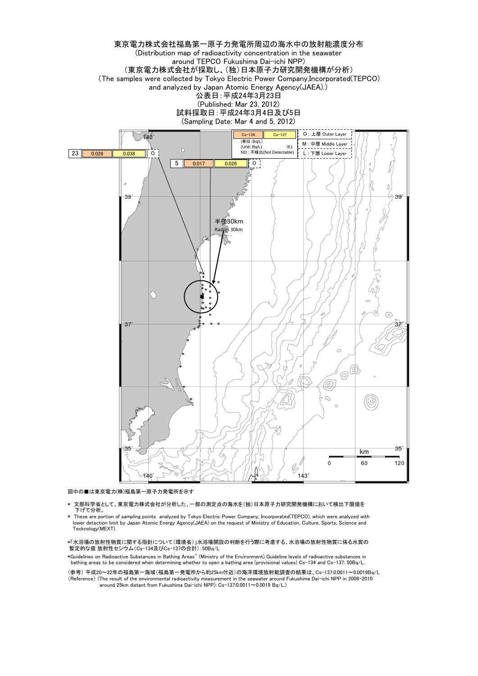

図中の■は東京電力(株)福島第一原子力発電所を示す

- 文部科学省として、東京電力株式会社が分析した、一部の測定点の海水を(独)日本原子力研究開発機構において検出下限値を 下げて分析。
- \* These are portion of sampling points analyzed by Tokyo Electric Power Company, Incorporated(TEPCO), which were analyzed with lower detection limit by Japan Atomic Energy Agency(JAEA) on the request of Ministry of Education, Culture, Sports, Science and Tecknology(MEXT).

\*「水浴場の放射性物質に関する指針について(環境省)」水浴場開設の判断を行う際に考慮する、水浴場の放射性物質に係る水質の 暫定的な値 放射性セシウム(Cs-134及びCs-137の合計):50Bq/L

\*Guidelines on Radioactive Substances in Bathing Areas" (Ministry of the Environment) Guideline levels of radioactive substances in bathing areas to be considered when determining whether to open a bathing area (provisional values) Cs-134 and Cs-137: 50Bq/L.

(参考) 平成20~22年の福島第一海域(福島第一発電所から約25km付近)の海洋環境放射能調査の結果は、Cs-137:0.0011~0.0019Bq/L (Reference) (The result of the environmental radioactivity measurement in the seawater around Fukushima Dai-ichi NPP in 2008-2010 around 25km distant from Fukushima Dai-ichi NPP); Cs-137:0.0011~0.0019 Bq/L.)